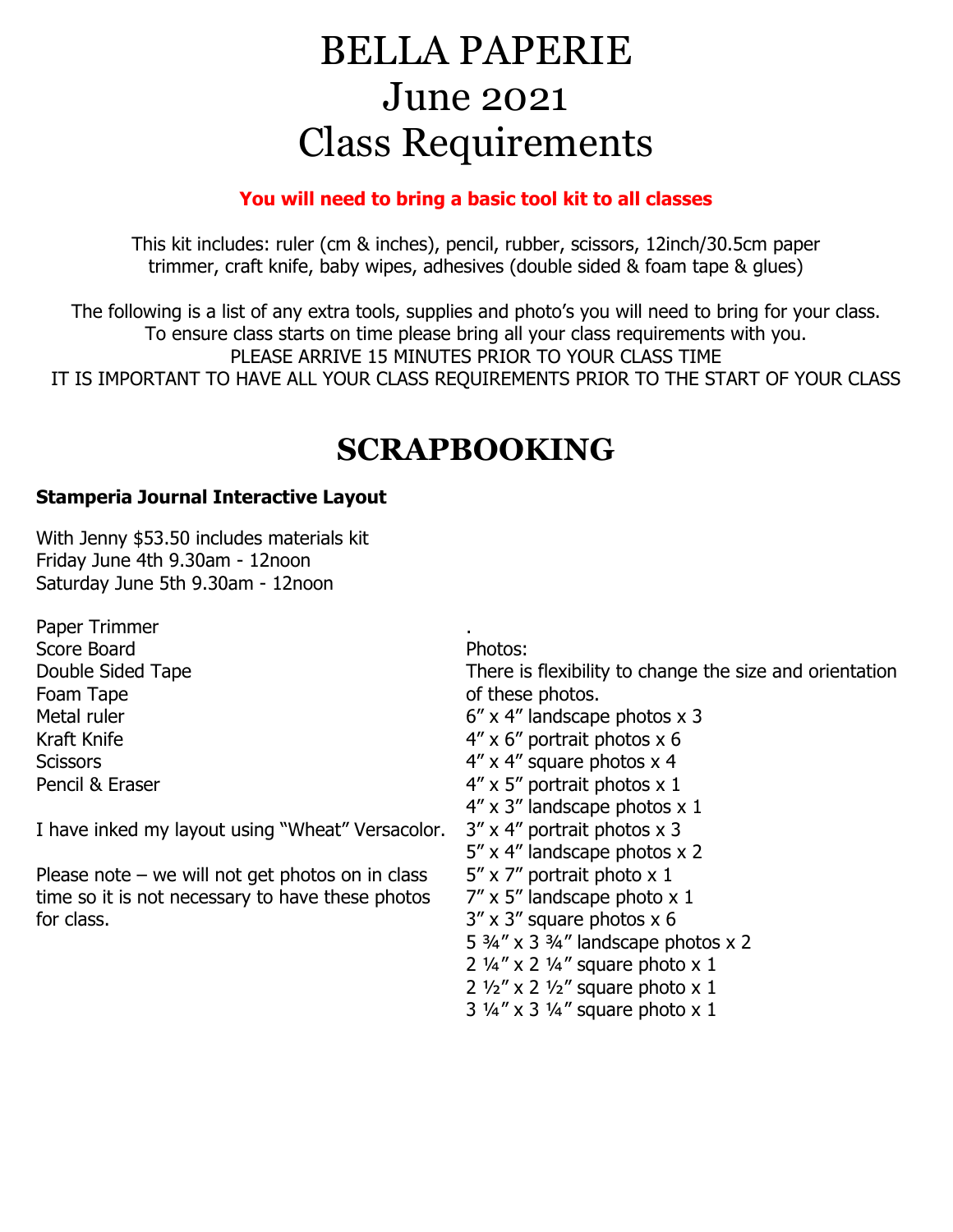# BELLA PAPERIE June 2021 Class Requirements

#### **You will need to bring a basic tool kit to all classes**

This kit includes: ruler (cm & inches), pencil, rubber, scissors, 12inch/30.5cm paper trimmer, craft knife, baby wipes, adhesives (double sided & foam tape & glues)

The following is a list of any extra tools, supplies and photo's you will need to bring for your class. To ensure class starts on time please bring all your class requirements with you. PLEASE ARRIVE 15 MINUTES PRIOR TO YOUR CLASS TIME IT IS IMPORTANT TO HAVE ALL YOUR CLASS REQUIREMENTS PRIOR TO THE START OF YOUR CLASS

## **SCRAPBOOKING**

#### **Stamperia Journal Interactive Layout**

With Jenny \$53.50 includes materials kit Friday June 4th 9.30am - 12noon Saturday June 5th 9.30am - 12noon

Paper Trimmer Score Board Double Sided Tape Foam Tape Metal ruler Kraft Knife **Scissors** Pencil & Eraser

I have inked my layout using "Wheat" Versacolor.

Please note – we will not get photos on in class time so it is not necessary to have these photos for class.

Photos:

.

There is flexibility to change the size and orientation of these photos.

- 6" x 4" landscape photos x 3
- 4" x 6" portrait photos x 6
- 4" x 4" square photos x 4
- 4" x 5" portrait photos x 1
- 4" x 3" landscape photos x 1
- 3" x 4" portrait photos x 3
- 5" x 4" landscape photos x 2
- 5" x 7" portrait photo x 1
- 7" x 5" landscape photo x 1
- 3" x 3" square photos x 6
- 5  $\frac{3}{4}$ " x 3  $\frac{3}{4}$ " landscape photos x 2
- 2 ¼" x 2 ¼" square photo x 1
- $2 \frac{1}{2}$  x 2  $\frac{1}{2}$  square photo x 1
- 3 ¼" x 3 ¼" square photo x 1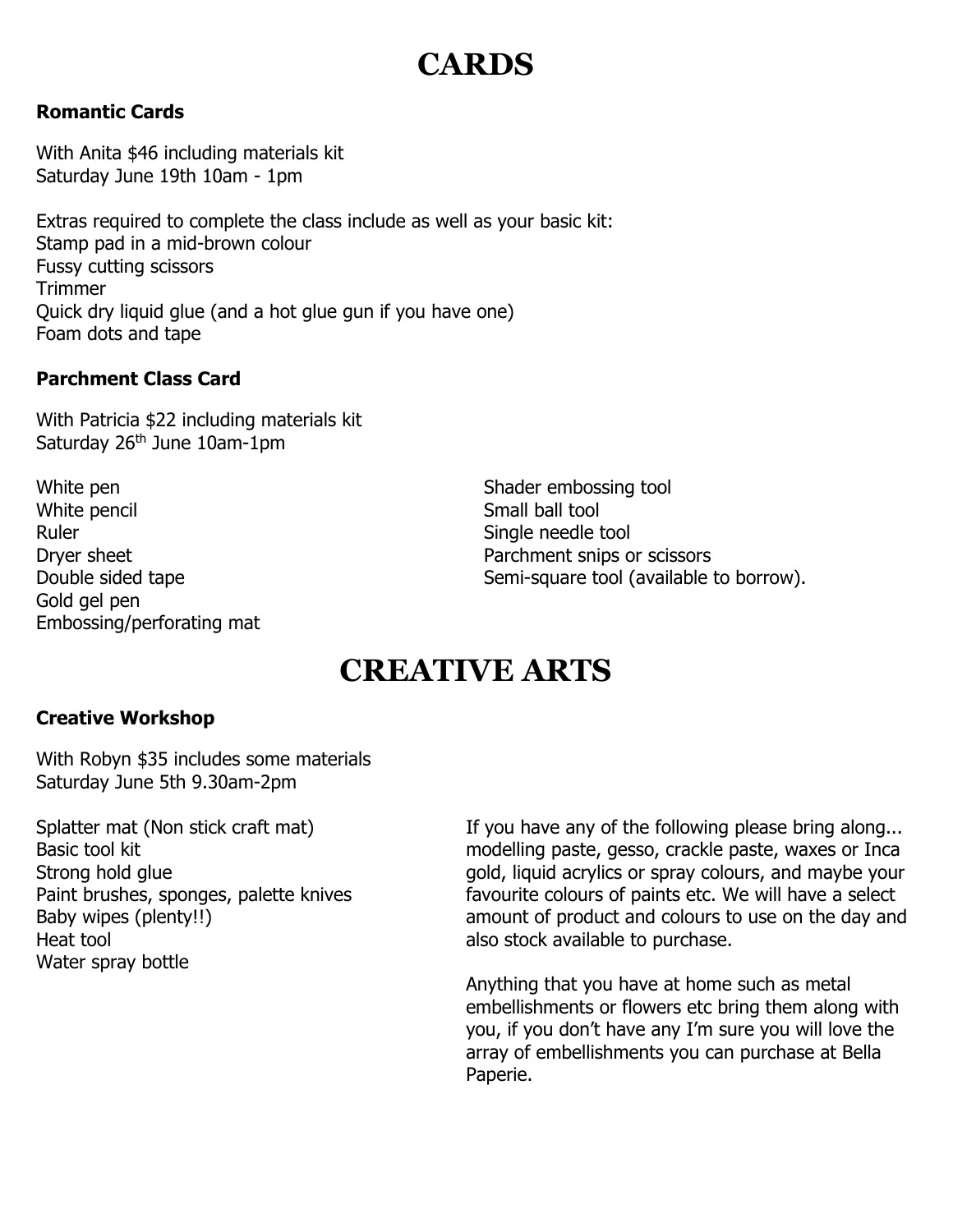## **CARDS**

#### **Romantic Cards**

With Anita \$46 including materials kit Saturday June 19th 10am - 1pm

Extras required to complete the class include as well as your basic kit: Stamp pad in a mid-brown colour Fussy cutting scissors **Trimmer** Quick dry liquid glue (and a hot glue gun if you have one) Foam dots and tape

#### **Parchment Class Card**

With Patricia \$22 including materials kit Saturday 26<sup>th</sup> June 10am-1pm

White pen White pencil Ruler Dryer sheet Double sided tape Gold gel pen Embossing/perforating mat

Shader embossing tool Small ball tool Single needle tool Parchment snips or scissors Semi-square tool (available to borrow).

### **CREATIVE ARTS**

#### **Creative Workshop**

With Robyn \$35 includes some materials Saturday June 5th 9.30am-2pm

Splatter mat (Non stick craft mat) Basic tool kit Strong hold glue Paint brushes, sponges, palette knives Baby wipes (plenty!!) Heat tool Water spray bottle

If you have any of the following please bring along... modelling paste, gesso, crackle paste, waxes or Inca gold, liquid acrylics or spray colours, and maybe your favourite colours of paints etc. We will have a select amount of product and colours to use on the day and also stock available to purchase.

Anything that you have at home such as metal embellishments or flowers etc bring them along with you, if you don't have any I'm sure you will love the array of embellishments you can purchase at Bella Paperie.